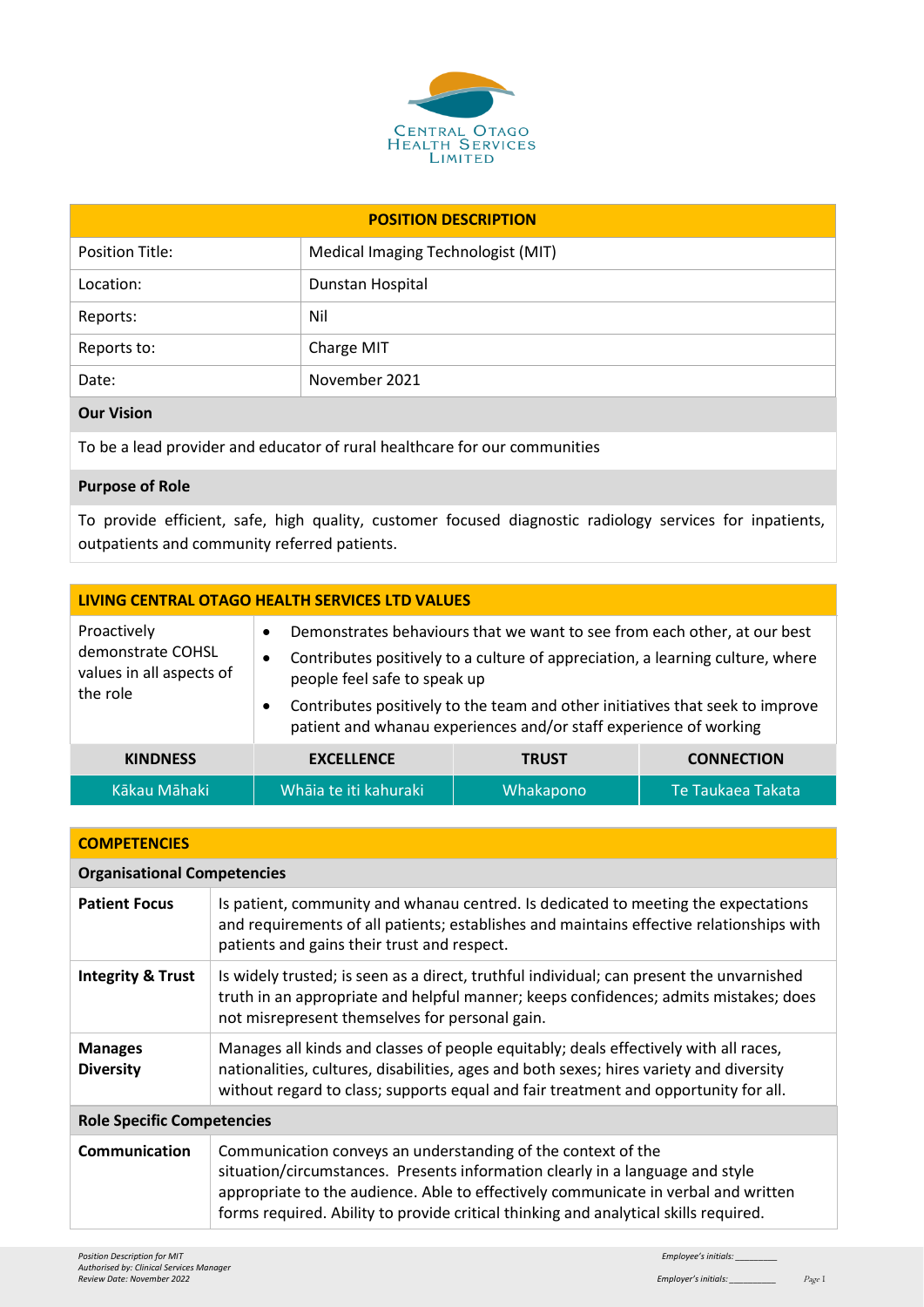

#### **POSITION DESCRIPTION**

| <b>Position Title:</b> | Medical Imaging Technologist (MIT) |
|------------------------|------------------------------------|
| Location:              | Dunstan Hospital                   |
| Reports:               | Nil                                |
| Reports to:            | Charge MIT                         |
| Date:                  | November 2021                      |
|                        |                                    |

#### **Our Vision**

To be a lead provider and educator of rural healthcare for our communities

### **Purpose of Role**

To provide efficient, safe, high quality, customer focused diagnostic radiology services for inpatients, outpatients and community referred patients.

| LIVING CENTRAL OTAGO HEALTH SERVICES LTD VALUES                          |                                                                                                                                                                                                                                                                                                                                                                            |              |                   |
|--------------------------------------------------------------------------|----------------------------------------------------------------------------------------------------------------------------------------------------------------------------------------------------------------------------------------------------------------------------------------------------------------------------------------------------------------------------|--------------|-------------------|
| Proactively<br>demonstrate COHSL<br>values in all aspects of<br>the role | Demonstrates behaviours that we want to see from each other, at our best<br>Contributes positively to a culture of appreciation, a learning culture, where<br>$\bullet$<br>people feel safe to speak up<br>Contributes positively to the team and other initiatives that seek to improve<br>$\bullet$<br>patient and whanau experiences and/or staff experience of working |              |                   |
| <b>KINDNESS</b>                                                          | <b>EXCELLENCE</b>                                                                                                                                                                                                                                                                                                                                                          | <b>TRUST</b> | <b>CONNECTION</b> |
| Kākau Māhaki                                                             | Whāia te iti kahuraki                                                                                                                                                                                                                                                                                                                                                      | Whakapono    | Te Taukaea Takata |

| <b>COMPETENCIES</b>                |                                                                                                                                                                                                                                                                                                                             |  |  |
|------------------------------------|-----------------------------------------------------------------------------------------------------------------------------------------------------------------------------------------------------------------------------------------------------------------------------------------------------------------------------|--|--|
| <b>Organisational Competencies</b> |                                                                                                                                                                                                                                                                                                                             |  |  |
| <b>Patient Focus</b>               | Is patient, community and whanau centred. Is dedicated to meeting the expectations<br>and requirements of all patients; establishes and maintains effective relationships with<br>patients and gains their trust and respect.                                                                                               |  |  |
| <b>Integrity &amp; Trust</b>       | Is widely trusted; is seen as a direct, truthful individual; can present the unvarnished<br>truth in an appropriate and helpful manner; keeps confidences; admits mistakes; does<br>not misrepresent themselves for personal gain.                                                                                          |  |  |
| <b>Manages</b><br><b>Diversity</b> | Manages all kinds and classes of people equitably; deals effectively with all races,<br>nationalities, cultures, disabilities, ages and both sexes; hires variety and diversity<br>without regard to class; supports equal and fair treatment and opportunity for all.                                                      |  |  |
| <b>Role Specific Competencies</b>  |                                                                                                                                                                                                                                                                                                                             |  |  |
| Communication                      | Communication conveys an understanding of the context of the<br>situation/circumstances. Presents information clearly in a language and style<br>appropriate to the audience. Able to effectively communicate in verbal and written<br>forms required. Ability to provide critical thinking and analytical skills required. |  |  |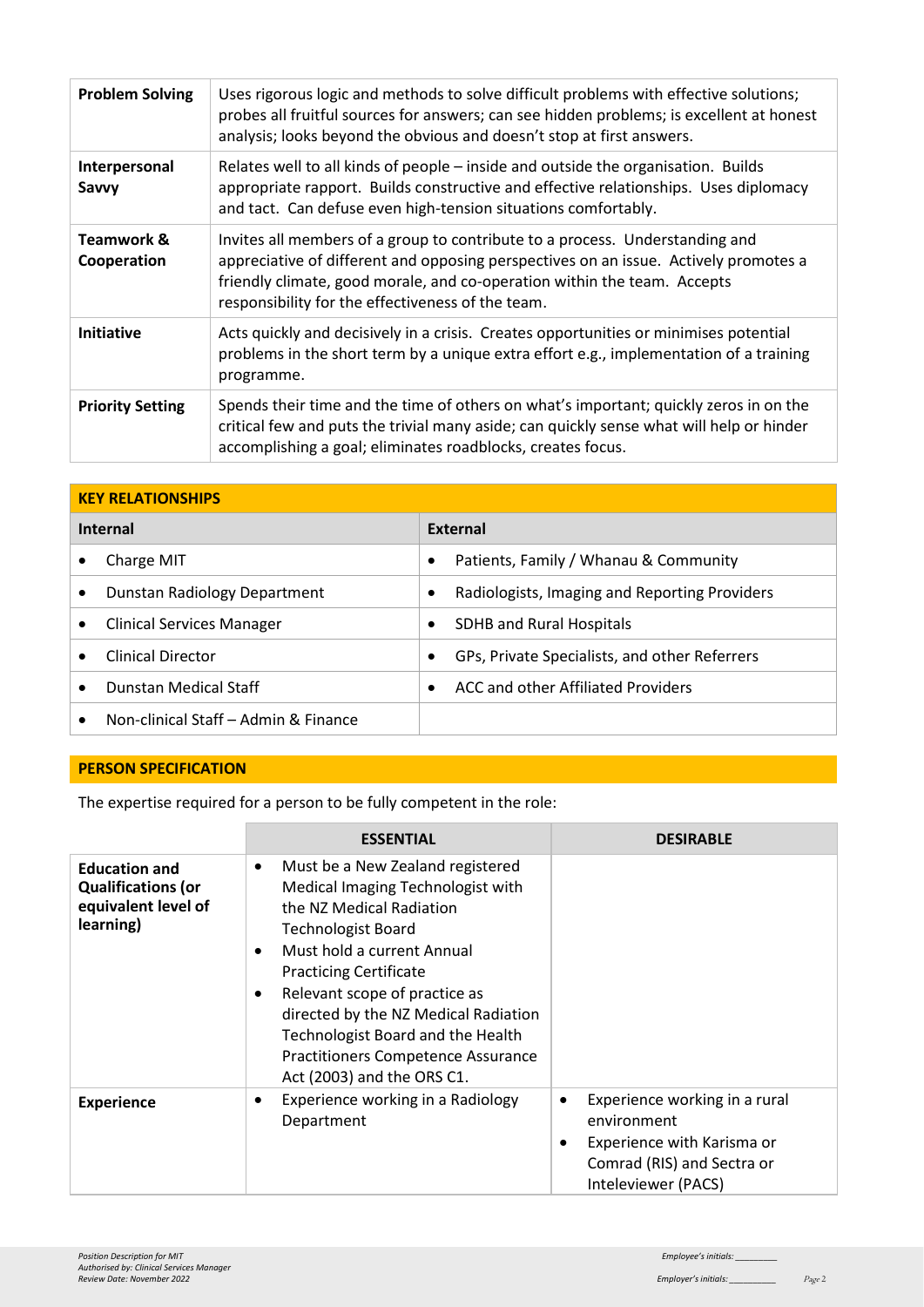| <b>Problem Solving</b>    | Uses rigorous logic and methods to solve difficult problems with effective solutions;<br>probes all fruitful sources for answers; can see hidden problems; is excellent at honest<br>analysis; looks beyond the obvious and doesn't stop at first answers.                                            |
|---------------------------|-------------------------------------------------------------------------------------------------------------------------------------------------------------------------------------------------------------------------------------------------------------------------------------------------------|
| Interpersonal<br>Savvy    | Relates well to all kinds of people – inside and outside the organisation. Builds<br>appropriate rapport. Builds constructive and effective relationships. Uses diplomacy<br>and tact. Can defuse even high-tension situations comfortably.                                                           |
| Teamwork &<br>Cooperation | Invites all members of a group to contribute to a process. Understanding and<br>appreciative of different and opposing perspectives on an issue. Actively promotes a<br>friendly climate, good morale, and co-operation within the team. Accepts<br>responsibility for the effectiveness of the team. |
| <b>Initiative</b>         | Acts quickly and decisively in a crisis. Creates opportunities or minimises potential<br>problems in the short term by a unique extra effort e.g., implementation of a training<br>programme.                                                                                                         |
| <b>Priority Setting</b>   | Spends their time and the time of others on what's important; quickly zeros in on the<br>critical few and puts the trivial many aside; can quickly sense what will help or hinder<br>accomplishing a goal; eliminates roadblocks, creates focus.                                                      |

| <b>KEY RELATIONSHIPS</b> |                                      |   |                                               |
|--------------------------|--------------------------------------|---|-----------------------------------------------|
|                          | Internal<br>External                 |   |                                               |
|                          | Charge MIT                           |   | Patients, Family / Whanau & Community         |
| ٠                        | Dunstan Radiology Department         | ٠ | Radiologists, Imaging and Reporting Providers |
| ٠                        | <b>Clinical Services Manager</b>     | ٠ | <b>SDHB and Rural Hospitals</b>               |
|                          | <b>Clinical Director</b>             |   | GPs, Private Specialists, and other Referrers |
|                          | <b>Dunstan Medical Staff</b>         |   | ACC and other Affiliated Providers            |
|                          | Non-clinical Staff – Admin & Finance |   |                                               |

# **PERSON SPECIFICATION**

The expertise required for a person to be fully competent in the role:

|                                                                                       | <b>ESSENTIAL</b>                                                                                                                                                                                                                                                                                                                                                                                 | <b>DESIRABLE</b>                                                                                                                     |
|---------------------------------------------------------------------------------------|--------------------------------------------------------------------------------------------------------------------------------------------------------------------------------------------------------------------------------------------------------------------------------------------------------------------------------------------------------------------------------------------------|--------------------------------------------------------------------------------------------------------------------------------------|
| <b>Education and</b><br><b>Qualifications (or</b><br>equivalent level of<br>learning) | Must be a New Zealand registered<br>٠<br>Medical Imaging Technologist with<br>the NZ Medical Radiation<br><b>Technologist Board</b><br>Must hold a current Annual<br><b>Practicing Certificate</b><br>Relevant scope of practice as<br>٠<br>directed by the NZ Medical Radiation<br>Technologist Board and the Health<br><b>Practitioners Competence Assurance</b><br>Act (2003) and the ORS C1. |                                                                                                                                      |
| <b>Experience</b>                                                                     | Experience working in a Radiology<br>٠<br>Department                                                                                                                                                                                                                                                                                                                                             | Experience working in a rural<br>٠<br>environment<br>Experience with Karisma or<br>Comrad (RIS) and Sectra or<br>Inteleviewer (PACS) |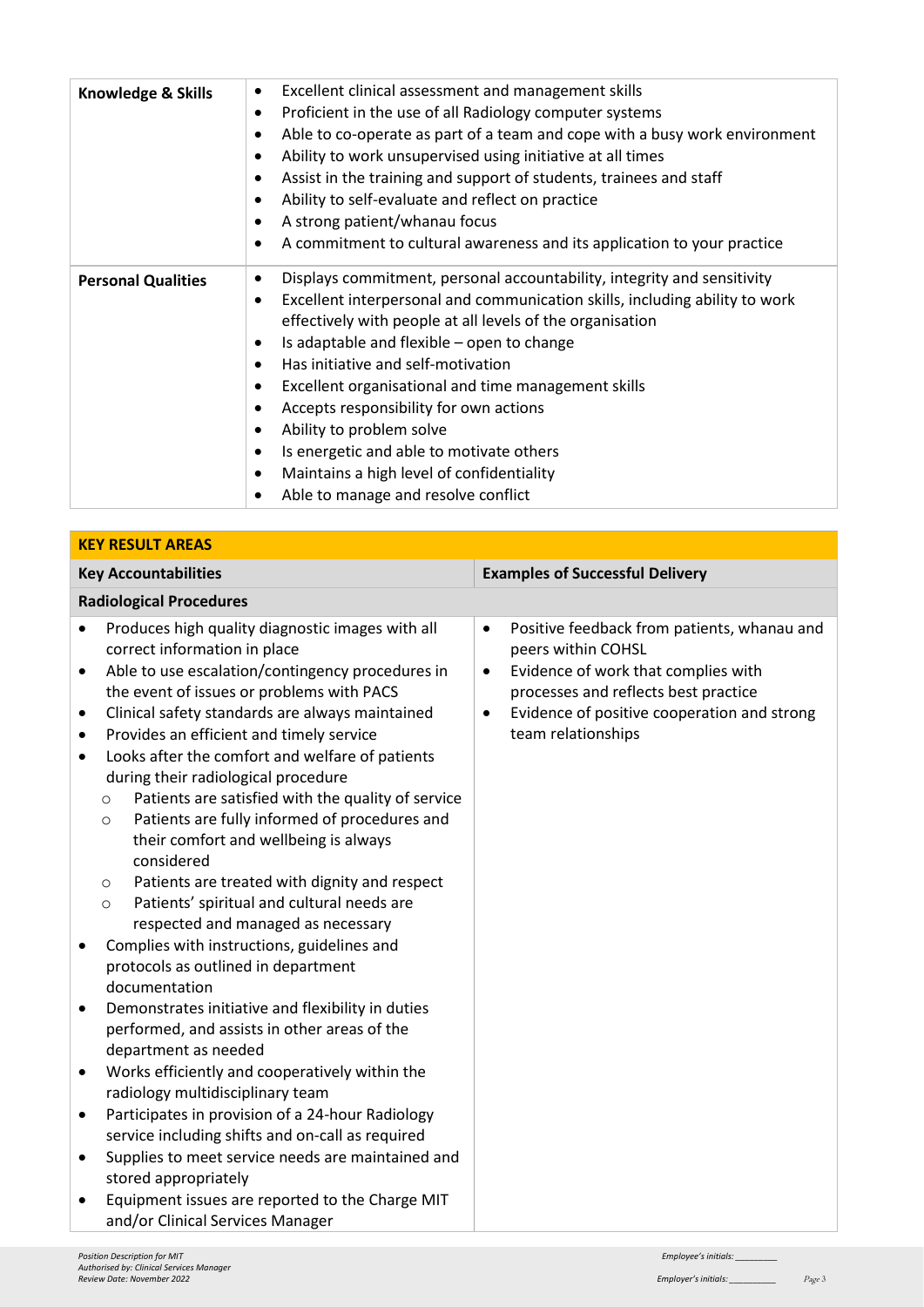| Knowledge & Skills        | Excellent clinical assessment and management skills<br>Proficient in the use of all Radiology computer systems<br>$\bullet$<br>Able to co-operate as part of a team and cope with a busy work environment<br>$\bullet$<br>Ability to work unsupervised using initiative at all times<br>٠<br>Assist in the training and support of students, trainees and staff<br>$\bullet$<br>Ability to self-evaluate and reflect on practice<br>$\bullet$<br>A strong patient/whanau focus<br>٠<br>A commitment to cultural awareness and its application to your practice<br>٠                                                                                                            |
|---------------------------|--------------------------------------------------------------------------------------------------------------------------------------------------------------------------------------------------------------------------------------------------------------------------------------------------------------------------------------------------------------------------------------------------------------------------------------------------------------------------------------------------------------------------------------------------------------------------------------------------------------------------------------------------------------------------------|
| <b>Personal Qualities</b> | Displays commitment, personal accountability, integrity and sensitivity<br>٠<br>Excellent interpersonal and communication skills, including ability to work<br>٠<br>effectively with people at all levels of the organisation<br>Is adaptable and flexible - open to change<br>$\bullet$<br>Has initiative and self-motivation<br>$\bullet$<br>Excellent organisational and time management skills<br>$\bullet$<br>Accepts responsibility for own actions<br>$\bullet$<br>Ability to problem solve<br>$\bullet$<br>Is energetic and able to motivate others<br>$\bullet$<br>Maintains a high level of confidentiality<br>$\bullet$<br>Able to manage and resolve conflict<br>٠ |

| <b>KEY RESULT AREAS</b>                                                                                                                                                                                                                                                                                                                                                                                                                                                                                                                                                                                                                                                                                                                                                                                                                                                                                                                                                                                                                                                                                                                                                                                                                                                                                                                                                                                                                  |                                                                                                                                                                                                                                                      |  |  |  |
|------------------------------------------------------------------------------------------------------------------------------------------------------------------------------------------------------------------------------------------------------------------------------------------------------------------------------------------------------------------------------------------------------------------------------------------------------------------------------------------------------------------------------------------------------------------------------------------------------------------------------------------------------------------------------------------------------------------------------------------------------------------------------------------------------------------------------------------------------------------------------------------------------------------------------------------------------------------------------------------------------------------------------------------------------------------------------------------------------------------------------------------------------------------------------------------------------------------------------------------------------------------------------------------------------------------------------------------------------------------------------------------------------------------------------------------|------------------------------------------------------------------------------------------------------------------------------------------------------------------------------------------------------------------------------------------------------|--|--|--|
| <b>Key Accountabilities</b><br><b>Examples of Successful Delivery</b>                                                                                                                                                                                                                                                                                                                                                                                                                                                                                                                                                                                                                                                                                                                                                                                                                                                                                                                                                                                                                                                                                                                                                                                                                                                                                                                                                                    |                                                                                                                                                                                                                                                      |  |  |  |
| <b>Radiological Procedures</b>                                                                                                                                                                                                                                                                                                                                                                                                                                                                                                                                                                                                                                                                                                                                                                                                                                                                                                                                                                                                                                                                                                                                                                                                                                                                                                                                                                                                           |                                                                                                                                                                                                                                                      |  |  |  |
| Produces high quality diagnostic images with all<br>$\bullet$<br>correct information in place<br>Able to use escalation/contingency procedures in<br>$\bullet$<br>the event of issues or problems with PACS<br>Clinical safety standards are always maintained<br>٠<br>Provides an efficient and timely service<br>٠<br>Looks after the comfort and welfare of patients<br>$\bullet$<br>during their radiological procedure<br>Patients are satisfied with the quality of service<br>$\circ$<br>Patients are fully informed of procedures and<br>$\circ$<br>their comfort and wellbeing is always<br>considered<br>Patients are treated with dignity and respect<br>$\circ$<br>Patients' spiritual and cultural needs are<br>$\circ$<br>respected and managed as necessary<br>Complies with instructions, guidelines and<br>$\bullet$<br>protocols as outlined in department<br>documentation<br>Demonstrates initiative and flexibility in duties<br>٠<br>performed, and assists in other areas of the<br>department as needed<br>Works efficiently and cooperatively within the<br>$\bullet$<br>radiology multidisciplinary team<br>Participates in provision of a 24-hour Radiology<br>$\bullet$<br>service including shifts and on-call as required<br>Supplies to meet service needs are maintained and<br>$\bullet$<br>stored appropriately<br>Equipment issues are reported to the Charge MIT<br>and/or Clinical Services Manager | Positive feedback from patients, whanau and<br>$\bullet$<br>peers within COHSL<br>Evidence of work that complies with<br>٠<br>processes and reflects best practice<br>Evidence of positive cooperation and strong<br>$\bullet$<br>team relationships |  |  |  |